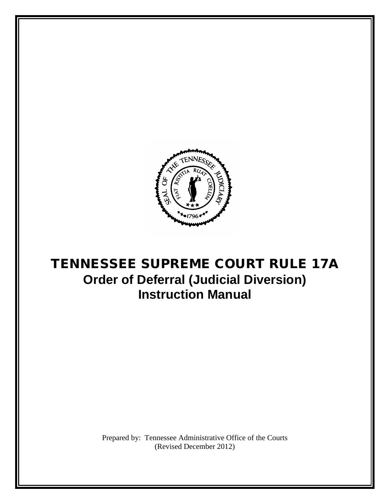

# TENNESSEE SUPREME COURT RULE 17A **Order of Deferral (Judicial Diversion) Instruction Manual**

Prepared by: Tennessee Administrative Office of the Courts (Revised December 2012)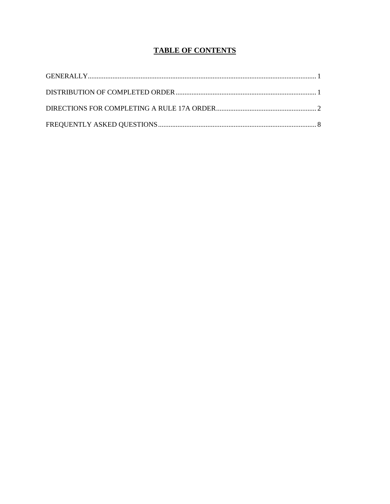# **TABLE OF CONTENTS**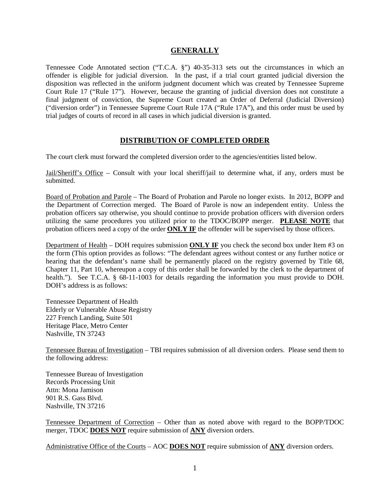#### **GENERALLY**

Tennessee Code Annotated section ("T.C.A. §") 40-35-313 sets out the circumstances in which an offender is eligible for judicial diversion. In the past, if a trial court granted judicial diversion the disposition was reflected in the uniform judgment document which was created by Tennessee Supreme Court Rule 17 ("Rule 17"). However, because the granting of judicial diversion does not constitute a final judgment of conviction, the Supreme Court created an Order of Deferral (Judicial Diversion) ("diversion order") in Tennessee Supreme Court Rule 17A ("Rule 17A"), and this order must be used by trial judges of courts of record in all cases in which judicial diversion is granted.

### **DISTRIBUTION OF COMPLETED ORDER**

The court clerk must forward the completed diversion order to the agencies/entities listed below.

Jail/Sheriff's Office – Consult with your local sheriff/jail to determine what, if any, orders must be submitted.

Board of Probation and Parole – The Board of Probation and Parole no longer exists. In 2012, BOPP and the Department of Correction merged. The Board of Parole is now an independent entity. Unless the probation officers say otherwise, you should continue to provide probation officers with diversion orders utilizing the same procedures you utilized prior to the TDOC/BOPP merger. **PLEASE NOTE** that probation officers need a copy of the order **ONLY IF** the offender will be supervised by those officers.

Department of Health – DOH requires submission **ONLY IF** you check the second box under Item #3 on the form (This option provides as follows: "The defendant agrees without contest or any further notice or hearing that the defendant's name shall be permanently placed on the registry governed by Title 68, Chapter 11, Part 10, whereupon a copy of this order shall be forwarded by the clerk to the department of health."). See T.C.A. § 68-11-1003 for details regarding the information you must provide to DOH. DOH's address is as follows:

Tennessee Department of Health Elderly or Vulnerable Abuse Registry 227 French Landing, Suite 501 Heritage Place, Metro Center Nashville, TN 37243

Tennessee Bureau of Investigation – TBI requires submission of all diversion orders. Please send them to the following address:

Tennessee Bureau of Investigation Records Processing Unit Attn: Mona Jamison 901 R.S. Gass Blvd. Nashville, TN 37216

Tennessee Department of Correction – Other than as noted above with regard to the BOPP/TDOC merger, TDOC **DOES NOT** require submission of **ANY** diversion orders.

Administrative Office of the Courts – AOC **DOES NOT** require submission of **ANY** diversion orders.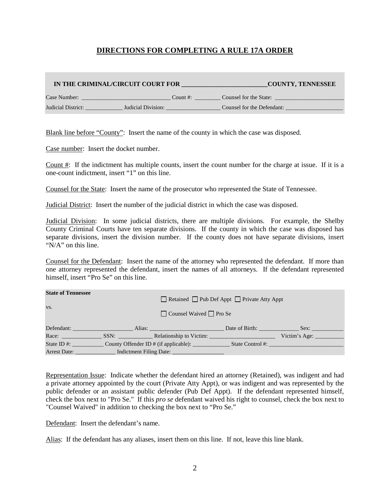## **DIRECTIONS FOR COMPLETING A RULE 17A ORDER**

| IN THE CRIMINAL/CIRCUIT COURT FOR |                    | <b>COUNTY, TENNESSEE</b>   |
|-----------------------------------|--------------------|----------------------------|
| Case Number:                      | Count #:           | Counsel for the State:     |
| Judicial District:                | Judicial Division: | Counsel for the Defendant: |

Blank line before "County": Insert the name of the county in which the case was disposed.

Case number: Insert the docket number.

Count #: If the indictment has multiple counts, insert the count number for the charge at issue. If it is a one-count indictment, insert "1" on this line.

Counsel for the State: Insert the name of the prosecutor who represented the State of Tennessee.

Judicial District: Insert the number of the judicial district in which the case was disposed.

Judicial Division: In some judicial districts, there are multiple divisions. For example, the Shelby County Criminal Courts have ten separate divisions. If the county in which the case was disposed has separate divisions, insert the division number. If the county does not have separate divisions, insert "N/A" on this line.

Counsel for the Defendant: Insert the name of the attorney who represented the defendant. If more than one attorney represented the defendant, insert the names of all attorneys. If the defendant represented himself, insert "Pro Se" on this line.

| <b>State of Tennessee</b> | □ Retained □ Pub Def Appt □ Private Atty Appt<br>$\Box$ Counsel Waived $\Box$ Pro Se |                                                                                   |                |                               |
|---------------------------|--------------------------------------------------------------------------------------|-----------------------------------------------------------------------------------|----------------|-------------------------------|
| VS.                       |                                                                                      |                                                                                   |                |                               |
| Defendant:                |                                                                                      |                                                                                   | Date of Birth: | Sex:                          |
|                           |                                                                                      | SSN: Relationship to Victim:                                                      |                | Victim's Age: $\qquad \qquad$ |
| State ID $#$ :            |                                                                                      | County Offender ID # (if applicable):                                             |                | State Control #:              |
|                           |                                                                                      | Arrest Date: ________________ Indictment Filing Date: ___________________________ |                |                               |

Representation Issue: Indicate whether the defendant hired an attorney (Retained), was indigent and had a private attorney appointed by the court (Private Atty Appt), or was indigent and was represented by the public defender or an assistant public defender (Pub Def Appt). If the defendant represented himself, check the box next to "Pro Se." If this *pro se* defendant waived his right to counsel, check the box next to "Counsel Waived" in addition to checking the box next to "Pro Se."

Defendant: Insert the defendant's name.

Alias: If the defendant has any aliases, insert them on this line. If not, leave this line blank.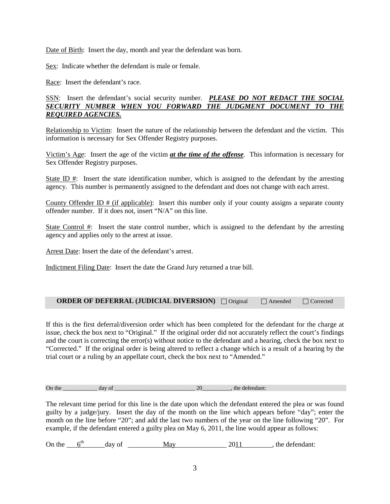Date of Birth: Insert the day, month and year the defendant was born.

Sex: Indicate whether the defendant is male or female.

Race: Insert the defendant's race.

SSN: Insert the defendant's social security number. *PLEASE DO NOT REDACT THE SOCIAL SECURITY NUMBER WHEN YOU FORWARD THE JUDGMENT DOCUMENT TO THE REQUIRED AGENCIES.*

Relationship to Victim: Insert the nature of the relationship between the defendant and the victim. This information is necessary for Sex Offender Registry purposes.

Victim's Age: Insert the age of the victim *at the time of the offense*. This information is necessary for Sex Offender Registry purposes.

State ID  $\#$ : Insert the state identification number, which is assigned to the defendant by the arresting agency. This number is permanently assigned to the defendant and does not change with each arrest.

County Offender ID  $#$  (if applicable): Insert this number only if your county assigns a separate county offender number. If it does not, insert "N/A" on this line.

State Control #: Insert the state control number, which is assigned to the defendant by the arresting agency and applies only to the arrest at issue.

Arrest Date: Insert the date of the defendant's arrest.

Indictment Filing Date: Insert the date the Grand Jury returned a true bill.

| <b>ORDER OF DEFERRAL (JUDICIAL DIVERSION)</b> $\Box$ Original |  | Amended | $\Box$ Corrected |  |
|---------------------------------------------------------------|--|---------|------------------|--|
|---------------------------------------------------------------|--|---------|------------------|--|

If this is the first deferral/diversion order which has been completed for the defendant for the charge at issue, check the box next to "Original." If the original order did not accurately reflect the court's findings and the court is correcting the error(s) without notice to the defendant and a hearing, check the box next to "Corrected." If the original order is being altered to reflect a change which is a result of a hearing by the trial court or a ruling by an appellate court, check the box next to "Amended."

On the day of the day of the day of the defendant:

The relevant time period for this line is the date upon which the defendant entered the plea or was found guilty by a judge/jury. Insert the day of the month on the line which appears before "day"; enter the month on the line before "20"; and add the last two numbers of the year on the line following "20". For example, if the defendant entered a guilty plea on May 6, 2011, the line would appear as follows:

On the  $6^{th}$  day of May 2011, the defendant: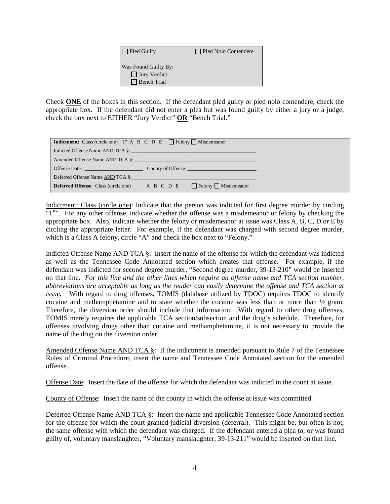| $\Box$ Pled Guilty                                                | Pled Nolo Contendere |
|-------------------------------------------------------------------|----------------------|
| Was Found Guilty By:<br>$\Box$ Jury Verdict<br>$\Box$ Bench Trial |                      |

Check **ONE** of the boxes in this section. If the defendant pled guilty or pled nolo contendere, check the appropriate box. If the defendant did not enter a plea but was found guilty by either a jury or a judge, check the box next to EITHER "Jury Verdict" **OR** "Bench Trial."

| <b>Indictment:</b> Class (circle one) $1^{st}$ A B C D E $\Box$ Felony $\Box$ Misdemeanor                                                                                                                                      |                                                      |
|--------------------------------------------------------------------------------------------------------------------------------------------------------------------------------------------------------------------------------|------------------------------------------------------|
|                                                                                                                                                                                                                                | Indicted Offense Name AND TCA §:                     |
|                                                                                                                                                                                                                                | Amended Offense Name AND TCA §: <b>Example 2018</b>  |
| Offense Date: and the contract of the contract of the contract of the contract of the contract of the contract of the contract of the contract of the contract of the contract of the contract of the contract of the contract |                                                      |
| Deferred Offense Name AND TCA §:                                                                                                                                                                                               |                                                      |
| <b>Deferred Offense:</b> Class (circle one)                                                                                                                                                                                    | $A \ B \ C \ D \ E$ $\Box$ Felony $\Box$ Misdemeanor |

Indictment: Class (circle one): Indicate that the person was indicted for first degree murder by circling "1<sup>st</sup>". For any other offense, indicate whether the offense was a misdemeanor or felony by checking the appropriate box. Also, indicate whether the felony or misdemeanor at issue was Class A, B, C, D or E by circling the appropriate letter. For example, if the defendant was charged with second degree murder, which is a Class A felony, circle "A" and check the box next to "Felony."

Indicted Offense Name AND TCA §: Insert the name of the offense for which the defendant was indicted as well as the Tennessee Code Annotated section which creates that offense. For example, if the defendant was indicted for second degree murder, "Second degree murder, 39-13-210" would be inserted on that line. *For this line and the other lines which require an offense name and TCA section number, abbreviations are acceptable as long as the reader can easily determine the offense and TCA section at issue.* With regard to drug offenses, TOMIS (database utilized by TDOC) requires TDOC to identify cocaine and methamphetamine and to state whether the cocaine was less than or more than ½ gram. Therefore, the diversion order should include that information. With regard to other drug offenses, TOMIS merely requires the applicable TCA section/subsection and the drug's schedule. Therefore, for offenses involving drugs other than cocaine and methamphetamine, it is not necessary to provide the name of the drug on the diversion order.

Amended Offense Name AND TCA §: If the indictment is amended pursuant to Rule 7 of the Tennessee Rules of Criminal Procedure, insert the name and Tennessee Code Annotated section for the amended offense.

Offense Date: Insert the date of the offense for which the defendant was indicted in the count at issue.

County of Offense: Insert the name of the county in which the offense at issue was committed.

Deferred Offense Name AND TCA §: Insert the name and applicable Tennessee Code Annotated section for the offense for which the court granted judicial diversion (deferral). This might be, but often is not, the same offense with which the defendant was charged. If the defendant entered a plea to, or was found guilty of, voluntary manslaughter, "Voluntary manslaughter, 39-13-211" would be inserted on that line.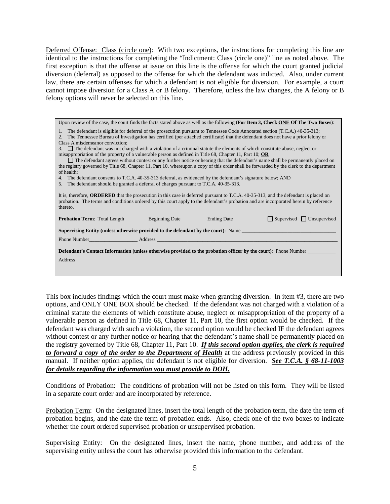Deferred Offense: Class (circle one): With two exceptions, the instructions for completing this line are identical to the instructions for completing the "Indictment: Class (circle one)" line as noted above. The first exception is that the offense at issue on this line is the offense for which the court granted judicial diversion (deferral) as opposed to the offense for which the defendant was indicted. Also, under current law, there are certain offenses for which a defendant is not eligible for diversion. For example, a court cannot impose diversion for a Class A or B felony. Therefore, unless the law changes, the A felony or B felony options will never be selected on this line.

Upon review of the case, the court finds the facts stated above as well as the following (**For Item 3, Check ONE Of The Two Boxes**):

- 1. The defendant is eligible for deferral of the prosecution pursuant to Tennessee Code Annotated section (T.C.A.) 40-35-313;
- 2. The Tennessee Bureau of Investigation has certified (per attached certificate) that the defendant does not have a prior felony or Class A misdemeanor conviction;

3. The defendant was not charged with a violation of a criminal statute the elements of which constitute abuse, neglect or misappropriation of the property of a vulnerable person as defined in Title 68, Chapter 11, Part 10; **OR**

| The defendant agrees without contest or any further notice or hearing that the defendant's name shall be permanently placed on           |
|------------------------------------------------------------------------------------------------------------------------------------------|
| the registry governed by Title 68, Chapter 11, Part 10, whereupon a copy of this order shall be forwarded by the clerk to the department |
| of health:                                                                                                                               |

4. The defendant consents to T.C.A. 40-35-313 deferral, as evidenced by the defendant's signature below; AND

5. The defendant should be granted a deferral of charges pursuant to T.C.A. 40-35-313.

|          | It is, therefore, <b>ORDERED</b> that the prosecution in this case is deferred pursuant to T.C.A. 40-35-313, and the defendant is placed on |
|----------|---------------------------------------------------------------------------------------------------------------------------------------------|
|          | probation. The terms and conditions ordered by this court apply to the defendant's probation and are incorporated herein by reference       |
| thereto. |                                                                                                                                             |

|                                                                                                                         |  | <b>Probation Term:</b> Total Length Beginning Date Ending Date                            |  | $\Box$ Supervised $\Box$ Unsupervised                                                     |  |
|-------------------------------------------------------------------------------------------------------------------------|--|-------------------------------------------------------------------------------------------|--|-------------------------------------------------------------------------------------------|--|
|                                                                                                                         |  |                                                                                           |  | <b>Supervising Entity (unless otherwise provided to the defendant by the court):</b> Name |  |
|                                                                                                                         |  | Phone Number <b>Example 2018</b> Address <b>Address Example 2018 Address Example 2018</b> |  |                                                                                           |  |
| <b>Defendant's Contact Information (unless otherwise provided to the probation officer by the court)</b> : Phone Number |  |                                                                                           |  |                                                                                           |  |
| Address                                                                                                                 |  |                                                                                           |  |                                                                                           |  |

This box includes findings which the court must make when granting diversion. In item #3, there are two options, and ONLY ONE BOX should be checked. If the defendant was not charged with a violation of a criminal statute the elements of which constitute abuse, neglect or misappropriation of the property of a vulnerable person as defined in Title 68, Chapter 11, Part 10, the first option would be checked. If the defendant was charged with such a violation, the second option would be checked IF the defendant agrees without contest or any further notice or hearing that the defendant's name shall be permanently placed on the registry governed by Title 68, Chapter 11, Part 10. *If this second option applies, the clerk is required to forward a copy of the order to the Department of Health* at the address previously provided in this manual. If neither option applies, the defendant is not eligible for diversion. *See T.C.A. § 68-11-1003 for details regarding the information you must provide to DOH.*

Conditions of Probation: The conditions of probation will not be listed on this form. They will be listed in a separate court order and are incorporated by reference.

Probation Term: On the designated lines, insert the total length of the probation term, the date the term of probation begins, and the date the term of probation ends. Also, check one of the two boxes to indicate whether the court ordered supervised probation or unsupervised probation.

Supervising Entity: On the designated lines, insert the name, phone number, and address of the supervising entity unless the court has otherwise provided this information to the defendant.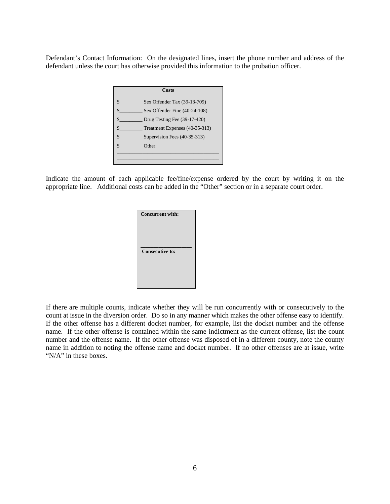Defendant's Contact Information: On the designated lines, insert the phone number and address of the defendant unless the court has otherwise provided this information to the probation officer.



Indicate the amount of each applicable fee/fine/expense ordered by the court by writing it on the appropriate line. Additional costs can be added in the "Other" section or in a separate court order.

| <b>Concurrent with:</b> |
|-------------------------|
| <b>Consecutive to:</b>  |

If there are multiple counts, indicate whether they will be run concurrently with or consecutively to the count at issue in the diversion order. Do so in any manner which makes the other offense easy to identify. If the other offense has a different docket number, for example, list the docket number and the offense name. If the other offense is contained within the same indictment as the current offense, list the count number and the offense name. If the other offense was disposed of in a different county, note the county name in addition to noting the offense name and docket number. If no other offenses are at issue, write "N/A" in these boxes.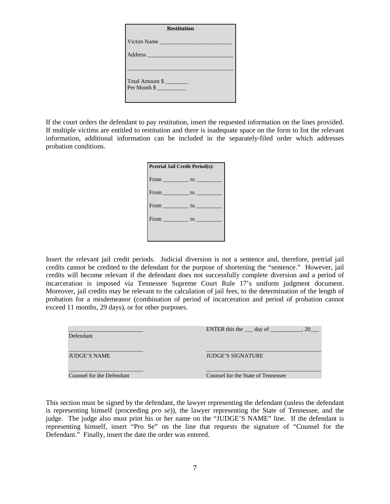| <b>Restitution</b> |  |  |
|--------------------|--|--|
| Victim Name        |  |  |
| Address            |  |  |
|                    |  |  |
| Total Amount \$    |  |  |
| Per Month \$       |  |  |
|                    |  |  |

If the court orders the defendant to pay restitution, insert the requested information on the lines provided. If multiple victims are entitled to restitution and there is inadequate space on the form to list the relevant information, additional information can be included in the separately-filed order which addresses probation conditions.



Insert the relevant jail credit periods. Judicial diversion is not a sentence and, therefore, pretrial jail credits cannot be credited to the defendant for the purpose of shortening the "sentence." However, jail credits will become relevant if the defendant does not successfully complete diversion and a period of incarceration is imposed via Tennessee Supreme Court Rule 17's uniform judgment document. Moreover, jail credits may be relevant to the calculation of jail fees, to the determination of the length of probation for a misdemeanor (combination of period of incarceration and period of probation cannot exceed 11 months, 29 days), or for other purposes.

| Defendant                 | ENTER this the $\_\_\_$ day of $\_\_\_\_\_\_$ , 20 |
|---------------------------|----------------------------------------------------|
| <b>JUDGE'S NAME</b>       | <b>JUDGE'S SIGNATURE</b>                           |
| Counsel for the Defendant | Counsel for the State of Tennessee                 |

This section must be signed by the defendant, the lawyer representing the defendant (unless the defendant is representing himself (proceeding *pro se*)), the lawyer representing the State of Tennessee, and the judge. The judge also must print his or her name on the "JUDGE'S NAME" line. If the defendant is representing himself, insert "Pro Se" on the line that requests the signature of "Counsel for the Defendant." Finally, insert the date the order was entered.